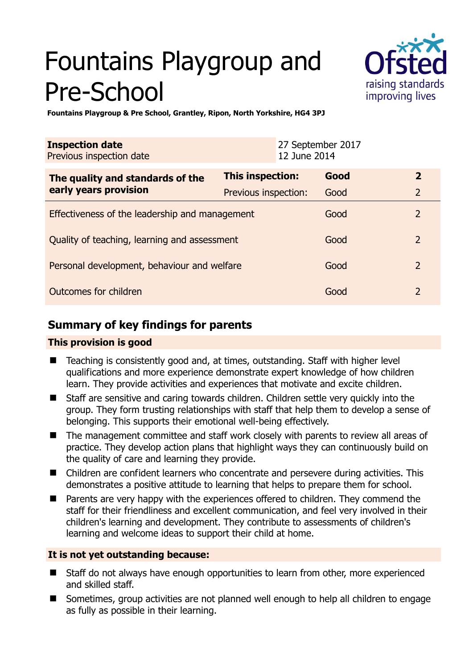# Fountains Playgroup and Pre-School



**Fountains Playgroup & Pre School, Grantley, Ripon, North Yorkshire, HG4 3PJ** 

| <b>Inspection date</b><br>Previous inspection date        | 12 June 2014         | 27 September 2017 |                |
|-----------------------------------------------------------|----------------------|-------------------|----------------|
| The quality and standards of the<br>early years provision | This inspection:     | Good              | $\mathbf{2}$   |
|                                                           | Previous inspection: | Good              | $\overline{2}$ |
| Effectiveness of the leadership and management            |                      | Good              | $\overline{2}$ |
| Quality of teaching, learning and assessment              |                      | Good              | $\mathcal{P}$  |
| Personal development, behaviour and welfare               |                      | Good              | $\overline{2}$ |
| Outcomes for children                                     |                      | Good              | $\overline{2}$ |

# **Summary of key findings for parents**

# **This provision is good**

- Teaching is consistently good and, at times, outstanding. Staff with higher level qualifications and more experience demonstrate expert knowledge of how children learn. They provide activities and experiences that motivate and excite children.
- Staff are sensitive and caring towards children. Children settle very quickly into the group. They form trusting relationships with staff that help them to develop a sense of belonging. This supports their emotional well-being effectively.
- The management committee and staff work closely with parents to review all areas of practice. They develop action plans that highlight ways they can continuously build on the quality of care and learning they provide.
- Children are confident learners who concentrate and persevere during activities. This demonstrates a positive attitude to learning that helps to prepare them for school.
- Parents are very happy with the experiences offered to children. They commend the staff for their friendliness and excellent communication, and feel very involved in their children's learning and development. They contribute to assessments of children's learning and welcome ideas to support their child at home.

# **It is not yet outstanding because:**

- Staff do not always have enough opportunities to learn from other, more experienced and skilled staff.
- Sometimes, group activities are not planned well enough to help all children to engage as fully as possible in their learning.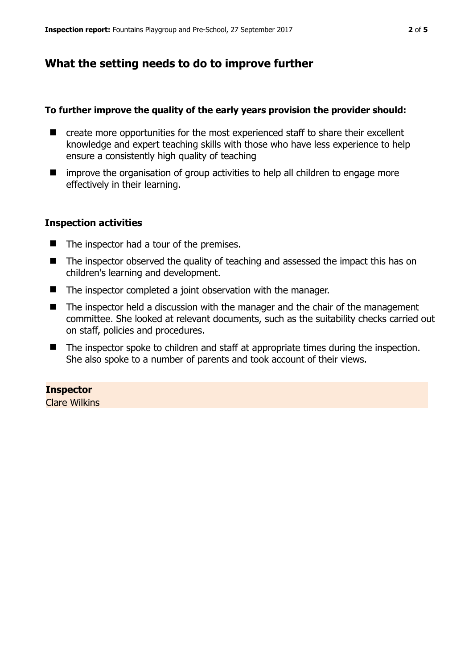# **What the setting needs to do to improve further**

#### **To further improve the quality of the early years provision the provider should:**

- create more opportunities for the most experienced staff to share their excellent knowledge and expert teaching skills with those who have less experience to help ensure a consistently high quality of teaching
- $\blacksquare$  improve the organisation of group activities to help all children to engage more effectively in their learning.

#### **Inspection activities**

- $\blacksquare$  The inspector had a tour of the premises.
- The inspector observed the quality of teaching and assessed the impact this has on children's learning and development.
- The inspector completed a joint observation with the manager.
- The inspector held a discussion with the manager and the chair of the management committee. She looked at relevant documents, such as the suitability checks carried out on staff, policies and procedures.
- The inspector spoke to children and staff at appropriate times during the inspection. She also spoke to a number of parents and took account of their views.

# **Inspector**

Clare Wilkins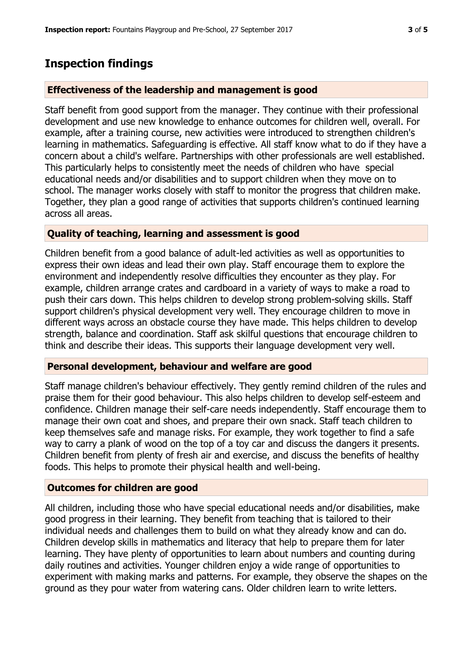# **Inspection findings**

#### **Effectiveness of the leadership and management is good**

Staff benefit from good support from the manager. They continue with their professional development and use new knowledge to enhance outcomes for children well, overall. For example, after a training course, new activities were introduced to strengthen children's learning in mathematics. Safeguarding is effective. All staff know what to do if they have a concern about a child's welfare. Partnerships with other professionals are well established. This particularly helps to consistently meet the needs of children who have special educational needs and/or disabilities and to support children when they move on to school. The manager works closely with staff to monitor the progress that children make. Together, they plan a good range of activities that supports children's continued learning across all areas.

## **Quality of teaching, learning and assessment is good**

Children benefit from a good balance of adult-led activities as well as opportunities to express their own ideas and lead their own play. Staff encourage them to explore the environment and independently resolve difficulties they encounter as they play. For example, children arrange crates and cardboard in a variety of ways to make a road to push their cars down. This helps children to develop strong problem-solving skills. Staff support children's physical development very well. They encourage children to move in different ways across an obstacle course they have made. This helps children to develop strength, balance and coordination. Staff ask skilful questions that encourage children to think and describe their ideas. This supports their language development very well.

#### **Personal development, behaviour and welfare are good**

Staff manage children's behaviour effectively. They gently remind children of the rules and praise them for their good behaviour. This also helps children to develop self-esteem and confidence. Children manage their self-care needs independently. Staff encourage them to manage their own coat and shoes, and prepare their own snack. Staff teach children to keep themselves safe and manage risks. For example, they work together to find a safe way to carry a plank of wood on the top of a toy car and discuss the dangers it presents. Children benefit from plenty of fresh air and exercise, and discuss the benefits of healthy foods. This helps to promote their physical health and well-being.

## **Outcomes for children are good**

All children, including those who have special educational needs and/or disabilities, make good progress in their learning. They benefit from teaching that is tailored to their individual needs and challenges them to build on what they already know and can do. Children develop skills in mathematics and literacy that help to prepare them for later learning. They have plenty of opportunities to learn about numbers and counting during daily routines and activities. Younger children enjoy a wide range of opportunities to experiment with making marks and patterns. For example, they observe the shapes on the ground as they pour water from watering cans. Older children learn to write letters.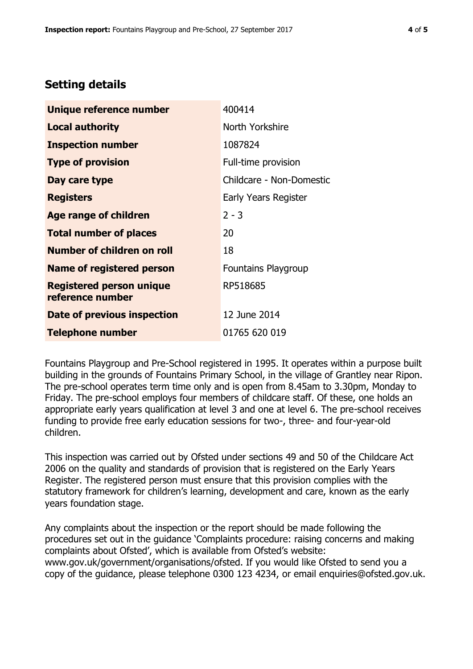# **Setting details**

| Unique reference number                             | 400414                     |
|-----------------------------------------------------|----------------------------|
| <b>Local authority</b>                              | North Yorkshire            |
| <b>Inspection number</b>                            | 1087824                    |
| <b>Type of provision</b>                            | Full-time provision        |
| Day care type                                       | Childcare - Non-Domestic   |
| <b>Registers</b>                                    | Early Years Register       |
| Age range of children                               | $2 - 3$                    |
| <b>Total number of places</b>                       | 20                         |
| <b>Number of children on roll</b>                   | 18                         |
| <b>Name of registered person</b>                    | <b>Fountains Playgroup</b> |
| <b>Registered person unique</b><br>reference number | RP518685                   |
| Date of previous inspection                         | 12 June 2014               |
| <b>Telephone number</b>                             | 01765 620 019              |

Fountains Playgroup and Pre-School registered in 1995. It operates within a purpose built building in the grounds of Fountains Primary School, in the village of Grantley near Ripon. The pre-school operates term time only and is open from 8.45am to 3.30pm, Monday to Friday. The pre-school employs four members of childcare staff. Of these, one holds an appropriate early years qualification at level 3 and one at level 6. The pre-school receives funding to provide free early education sessions for two-, three- and four-year-old children.

This inspection was carried out by Ofsted under sections 49 and 50 of the Childcare Act 2006 on the quality and standards of provision that is registered on the Early Years Register. The registered person must ensure that this provision complies with the statutory framework for children's learning, development and care, known as the early years foundation stage.

Any complaints about the inspection or the report should be made following the procedures set out in the guidance 'Complaints procedure: raising concerns and making complaints about Ofsted', which is available from Ofsted's website: www.gov.uk/government/organisations/ofsted. If you would like Ofsted to send you a copy of the guidance, please telephone 0300 123 4234, or email enquiries@ofsted.gov.uk.